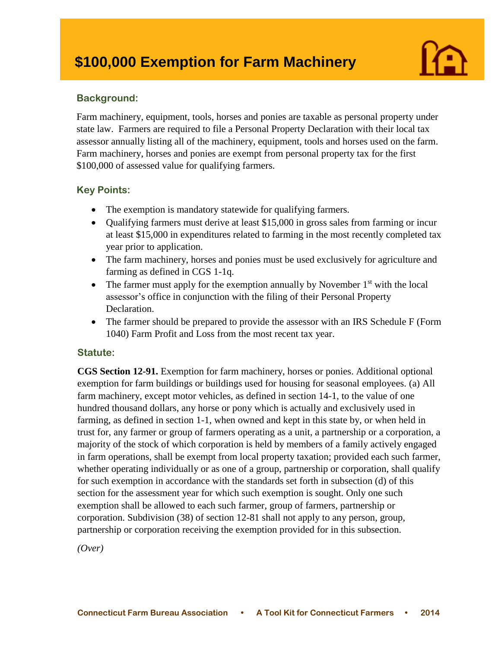# **\$100,000 Exemption for Farm Machinery**

## **Background:**

I

Farm machinery, equipment, tools, horses and ponies are taxable as personal property under state law. Farmers are required to file a Personal Property Declaration with their local tax assessor annually listing all of the machinery, equipment, tools and horses used on the farm. Farm machinery, horses and ponies are exempt from personal property tax for the first \$100,000 of assessed value for qualifying farmers.

## **Key Points:**

- The exemption is mandatory statewide for qualifying farmers.
- Qualifying farmers must derive at least \$15,000 in gross sales from farming or incur at least \$15,000 in expenditures related to farming in the most recently completed tax year prior to application.
- The farm machinery, horses and ponies must be used exclusively for agriculture and farming as defined in CGS 1-1q.
- The farmer must apply for the exemption annually by November  $1<sup>st</sup>$  with the local assessor's office in conjunction with the filing of their Personal Property Declaration.
- The farmer should be prepared to provide the assessor with an IRS Schedule F (Form 1040) Farm Profit and Loss from the most recent tax year.

## **Statute:**

**CGS Section 12-91.** Exemption for farm machinery, horses or ponies. Additional optional exemption for farm buildings or buildings used for housing for seasonal employees. (a) All farm machinery, except motor vehicles, as defined in section 14-1, to the value of one hundred thousand dollars, any horse or pony which is actually and exclusively used in farming, as defined in section 1-1, when owned and kept in this state by, or when held in trust for, any farmer or group of farmers operating as a unit, a partnership or a corporation, a majority of the stock of which corporation is held by members of a family actively engaged in farm operations, shall be exempt from local property taxation; provided each such farmer, whether operating individually or as one of a group, partnership or corporation, shall qualify for such exemption in accordance with the standards set forth in subsection (d) of this section for the assessment year for which such exemption is sought. Only one such exemption shall be allowed to each such farmer, group of farmers, partnership or corporation. Subdivision (38) of section 12-81 shall not apply to any person, group, partnership or corporation receiving the exemption provided for in this subsection.

*(Over)*